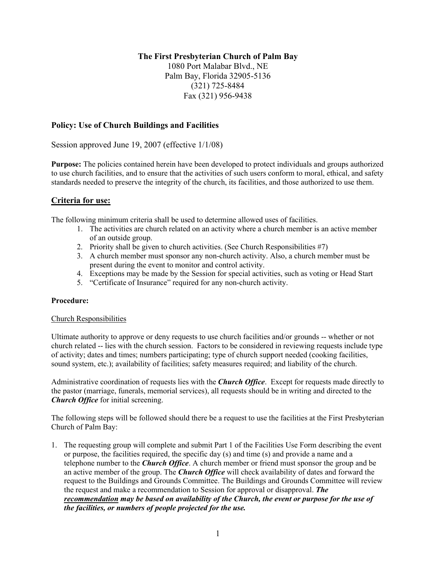# **The First Presbyterian Church of Palm Bay**

1080 Port Malabar Blvd., NE Palm Bay, Florida 32905-5136 (321) 725-8484 Fax (321) 956-9438

# **Policy: Use of Church Buildings and Facilities**

Session approved June 19, 2007 (effective 1/1/08)

**Purpose:** The policies contained herein have been developed to protect individuals and groups authorized to use church facilities, and to ensure that the activities of such users conform to moral, ethical, and safety standards needed to preserve the integrity of the church, its facilities, and those authorized to use them.

# **Criteria for use:**

The following minimum criteria shall be used to determine allowed uses of facilities.

- 1. The activities are church related on an activity where a church member is an active member of an outside group.
- 2. Priority shall be given to church activities. (See Church Responsibilities #7)
- 3. A church member must sponsor any non-church activity. Also, a church member must be present during the event to monitor and control activity.
- 4. Exceptions may be made by the Session for special activities, such as voting or Head Start
- 5. "Certificate of Insurance" required for any non-church activity.

#### **Procedure:**

#### Church Responsibilities

Ultimate authority to approve or deny requests to use church facilities and/or grounds -- whether or not church related -- lies with the church session. Factors to be considered in reviewing requests include type of activity; dates and times; numbers participating; type of church support needed (cooking facilities, sound system, etc.); availability of facilities; safety measures required; and liability of the church.

Administrative coordination of requests lies with the *Church Office*. Except for requests made directly to the pastor (marriage, funerals, memorial services), all requests should be in writing and directed to the *Church Office* for initial screening.

The following steps will be followed should there be a request to use the facilities at the First Presbyterian Church of Palm Bay:

1. The requesting group will complete and submit Part 1 of the Facilities Use Form describing the event or purpose, the facilities required, the specific day (s) and time (s) and provide a name and a telephone number to the *Church Office*. A church member or friend must sponsor the group and be an active member of the group. The *Church Office* will check availability of dates and forward the request to the Buildings and Grounds Committee. The Buildings and Grounds Committee will review the request and make a recommendation to Session for approval or disapproval. *The recommendation may be based on availability of the Church, the event or purpose for the use of the facilities, or numbers of people projected for the use.*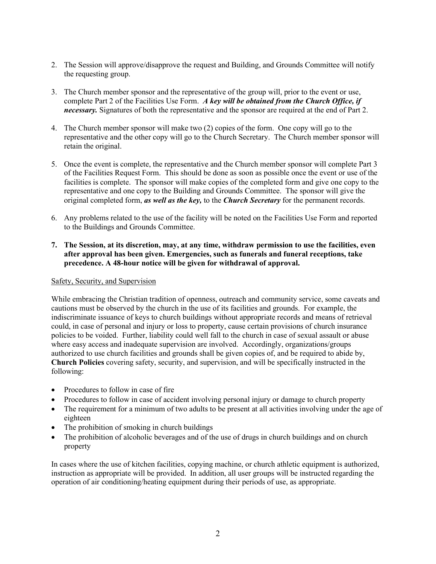- 2. The Session will approve/disapprove the request and Building, and Grounds Committee will notify the requesting group.
- 3. The Church member sponsor and the representative of the group will, prior to the event or use, complete Part 2 of the Facilities Use Form. *A key will be obtained from the Church Office, if necessary.* Signatures of both the representative and the sponsor are required at the end of Part 2.
- 4. The Church member sponsor will make two (2) copies of the form. One copy will go to the representative and the other copy will go to the Church Secretary. The Church member sponsor will retain the original.
- 5. Once the event is complete, the representative and the Church member sponsor will complete Part 3 of the Facilities Request Form. This should be done as soon as possible once the event or use of the facilities is complete. The sponsor will make copies of the completed form and give one copy to the representative and one copy to the Building and Grounds Committee. The sponsor will give the original completed form, *as well as the key,* to the *Church Secretary* for the permanent records.
- 6. Any problems related to the use of the facility will be noted on the Facilities Use Form and reported to the Buildings and Grounds Committee.
- **7. The Session, at its discretion, may, at any time, withdraw permission to use the facilities, even after approval has been given. Emergencies, such as funerals and funeral receptions, take precedence. A 48-hour notice will be given for withdrawal of approval.**

## Safety, Security, and Supervision

While embracing the Christian tradition of openness, outreach and community service, some caveats and cautions must be observed by the church in the use of its facilities and grounds. For example, the indiscriminate issuance of keys to church buildings without appropriate records and means of retrieval could, in case of personal and injury or loss to property, cause certain provisions of church insurance policies to be voided. Further, liability could well fall to the church in case of sexual assault or abuse where easy access and inadequate supervision are involved. Accordingly, organizations/groups authorized to use church facilities and grounds shall be given copies of, and be required to abide by, **Church Policies** covering safety, security, and supervision, and will be specifically instructed in the following:

- Procedures to follow in case of fire
- Procedures to follow in case of accident involving personal injury or damage to church property
- The requirement for a minimum of two adults to be present at all activities involving under the age of eighteen
- The prohibition of smoking in church buildings
- The prohibition of alcoholic beverages and of the use of drugs in church buildings and on church property

In cases where the use of kitchen facilities, copying machine, or church athletic equipment is authorized, instruction as appropriate will be provided. In addition, all user groups will be instructed regarding the operation of air conditioning/heating equipment during their periods of use, as appropriate.